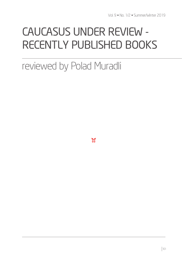# CAUCASUS UNDER REVIEW - RECENTLY PUBLISHED BOOKS

# reviewed by Polad Muradli

 $\mathbb{X}$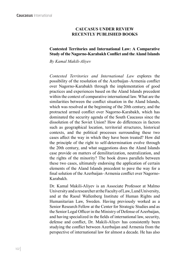## **CAUCASUS UNDER REVIEW RECENTLY PUBLISHED BOOKS**

## **Contested Territories and International Law: A Comparative Study of the Nagorno-Karabakh Conflict and the Aland Islands**

*By Kamal Makili-Aliyev*

*Contested Territories and International Law* explores the possibility of the resolution of the Azerbaijan–Armenia conflict over Nagorno-Karabakh through the implementation of good practices and experiences based on the Aland Islands precedent within the context of comparative international law. What are the similarities between the conflict situation in the Aland Islands, which was resolved at the beginning of the 20th century, and the protracted armed conflict over Nagorno-Karabakh, which has dominated the security agenda of the South Caucasus since the dissolution of the Soviet Union? How do differences in factors such as geographical location, territorial structures, historical contexts, and the political processes surrounding these two cases affect the way in which they have been treated? How did the principle of the right to self-determination evolve through the 20th century, and what suggestions does the Aland Islands case provide on matters of demilitarization, neutralization, and the rights of the minority? The book draws parallels between these two cases, ultimately endorsing the application of certain elements of the Aland Islands precedent to pave the way for a final solution of the Azerbaijan–Armenia conflict over Nagorno-Karabakh.

Dr. Kamal Makili-Aliyev is an Associate Professor at Malmo University and a researcher at the Faculty of Law, Lund University, and at the Raoul Wallenberg Institute of Human Rights and Humanitarian Law, Sweden. Having previously worked as a Senior Research Fellow at the Center for Strategic Studies and as the Senior Legal Officer in the Ministry of Defense of Azerbaijan, and having specialized in the fields of international law, security, defense and conflict, Dr. Makili-Aliyev has consistently been studying the conflict between Azerbaijan and Armenia from the perspective of international law for almost a decade. He has also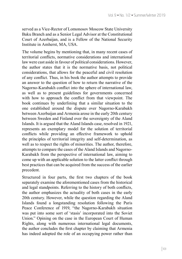served as a Vice-Rector of Lomonosov Moscow State University Baku Branch and as a Senior Legal Advisor at the Constitutional Court of Azerbaijan, and is a Fellow of the National Security Institute in Amherst, MA, USA.

The volume begins by mentioning that, in many recent cases of territorial conflicts, normative considerations and international law were cast aside in favour of political considerations. However, the author states that it is the normative basis, not political considerations, that allows for the peaceful and civil resolution of any conflict. Thus, in his book the author attempts to provide an answer to the question of how to return the narrative of the Nagorno-Karabakh conflict into the sphere of international law, as well as to present guidelines for governments concerned with how to approach the conflict from that viewpoint. The book continues by underlining that a similar situation to the one established around the dispute over Nagorno-Karabakh between Azerbaijan and Armenia arose in the early 20th century between Sweden and Finland over the sovereignty of the Aland Islands. It is argued that the Aland Islands case, resolved in 1921, represents an exemplary model for the solution of territorial conflicts while providing an effective framework to uphold the principles of territorial integrity and self-determination, as well as to respect the rights of minorities. The author, therefore, attempts to compare the cases of the Aland Islands and Nagorno-Karabakh from the perspective of international law, aiming to come up with an applicable solution to the latter conflict through best practices that can be acquired from the success of the earlier precedent.

Structured in four parts, the first two chapters of the book separately examine the aforementioned cases from the historical and legal standpoints. Referring to the history of both conflicts, the author emphasizes the actuality of both cases in the early 20th century. However, while the question regarding the Aland Islands found a longstanding resolution following the Paris Peace Conference of 1919, "the Nagorno-Karabakh situation was put into some sort of 'stasis' incorporated into the Soviet Union." Opining on the case in the European Court of Human Rights, along with numerous international legal documents, the author concludes the first chapter by claiming that Armenia has indeed adopted the role of an occupying power rather than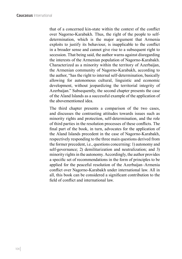that of a concerned kin-state within the context of the conflict over Nagorno-Karabakh. Thus, the right of the people to selfdetermination, which is the major argument that Armenia exploits to justify its behaviour, is inapplicable to the conflict in a broader sense and cannot give rise to a subsequent right to secession. That being said, the author warns against disregarding the interests of the Armenian population of Nagorno-Karabakh. Characterized as a minority within the territory of Azerbaijan, the Armenian community of Nagorno-Karabakh, according to the author, "has the right to internal self-determination, basically allowing for autonomous cultural, linguistic and economic development, without jeopardizing the territorial integrity of Azerbaijan." Subsequently, the second chapter presents the case of the Aland Islands as a successful example of the application of the abovementioned idea.

The third chapter presents a comparison of the two cases, and discusses the contrasting attitudes towards issues such as minority rights and protection, self-determination, and the role of third parties in the resolution processes of these conflicts. The final part of the book, in turn, advocates for the application of the Aland Islands precedent in the case of Nagorno-Karabakh, respectively responding to the three main questions derived from the former precedent, i.e., questions concerning: 1) autonomy and self-governance; 2) demilitarization and neutralization; and 3) minority rights in the autonomy. Accordingly, the author provides a specific set of recommendations in the form of principles to be applied for the peaceful resolution of the Azerbaijan–Armenia conflict over Nagorno-Karabakh under international law. All in all, this book can be considered a significant contribution to the field of conflict and international law.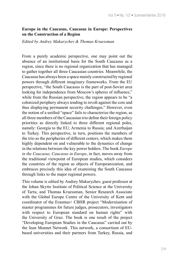#### **Europe in the Caucasus, Caucasus in Europe: Perspectives on the Construction of a Region**

*Edited by Andrey Makarychev & Thomas Kruessman*

From a purely academic perspective, one may point out the absence of an institutional basis for the South Caucasus as a region, since there is no regional organization that has managed to gather together all three Caucasian countries. Meanwhile, the Caucasus has always been a space mainly constructed by regional powers through different imaginary frameworks. From the EU perspective, "the South Caucasus is the part of post-Soviet area looking for independence from Moscow's spheres of influence," while from the Russian perspective, the region appears to be "a colonized periphery always tending to revolt against the core and thus displaying permanent security challenges." However, even the notion of a unified "space" fails to characterize the region, as all three members of the Caucasian trio define their foreign policy priorities as directly linked to three different regional poles, namely: Georgia to the EU; Armenia to Russia; and Azerbaijan to Turkey. This perspective, in turn, positions the members of the trio as the peripheries of different centers, which makes them highly dependent on and vulnerable to the dynamics of change in the relations between the key power holders. The book *Europe in the Caucasus, Caucasus in Europe*, in fact, moves away from the traditional viewpoint of European studies, which considers the countries of the region as objects of Europeanization, and embraces precisely this idea of examining the South Caucasus through links to the major regional powers.

This volume is edited by Andrey Makarychev, guest professor at the Johan Skytte Institute of Political Science at the University of Tartu, and Thomas Kruessman, Senior Research Associate with the Global Europe Centre of the University of Kent and coordinator of the Erasmus+ CBHR project "Modernisation of master programmes for future judges, prosecutors, investigators with respect to European standard on human rights" with the University of Graz. The book is one result of the project "Developing European Studies in the Caucasus" carried out by the Jean Monnet Network. This network, a consortium of EUbased universities and their partners from Turkey, Russia, and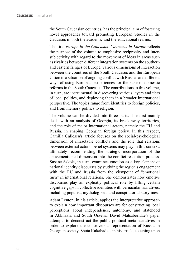the South Caucasian countries, has the principal aim of fostering novel approaches toward promoting European Studies in the Caucasus in both the academic and the educational realms.

The title *Europe in the Caucasus, Caucasus in Europe* reflects the purpose of the volume to emphasize reciprocity and intersubjectivity with regard to the movement of ideas in areas such as rivalries between different integration systems on the southern and eastern fringes of Europe, various dimensions of interaction between the countries of the South Caucasus and the European Union in a situation of ongoing conflict with Russia, and different ways of using European experiences for the sake of domestic reforms in the South Caucasus. The contributions to this volume, in turn, are instrumental in discovering various layers and tiers of local politics, and deploying them in a broader international perspective. The topics range from identities to foreign policies, and from memory politics to religion.

The volume can be divided into three parts. The first mainly deals with an analysis of Georgia, its break-away territories, and the role of major international actors, namely the EU and Russia, in shaping Georgian foreign policy. In this respect, Camilla Callesen's article focuses on the social-psychological dimension of intractable conflicts and the role that relations between external actors' belief systems may play in this context, ultimately recommending the strategic incorporation of the abovementioned dimension into the conflict resolution process. Susane Szkola, in turn, examines emotion as a key element of national identity discourses by studying the region's engagement with the EU and Russia from the viewpoint of "emotional turn" in international relations. She demonstrates how emotive discourses play an explicitly political role by filling certain cognitive gaps in collective identities with vernacular narratives, including populist, mythologized, and conspiratorial storylines.

Adam Lenton, in his article, applies the interpretative approach to explain how important discourses are for constructing local perceptions about independence, autonomy, and statehood in Abkhazia and South Ossetia. David Matsaberidze's paper attempts to deconstruct the public political meta-narratives in order to explore the controversial representation of Russia in Georgian society. Shota Kakabadze, in his article, touching upon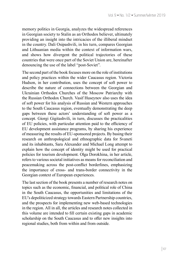memory politics in Georgia, analyzes the widespread references in Georgian society to Stalin as an Orthodox believer, ultimately providing an insight into the intricacies of the illiberal mindset in the country. Dali Osipashvili, in his turn, compares Georgian and Lithuanian media within the context of information wars, and shows how divergent the political trajectories of these countries that were once part of the Soviet Union are, hereinafter denouncing the use of the label "post-Soviet".

The second part of the book focuses more on the role of institutions and policy practices within the wider Caucasus region. Victoria Hudson, in her contribution, uses the concept of soft power to describe the nature of connections between the Georgian and Ukrainian Orthodox Churches of the Moscow Patriarchy with the Russian Orthodox Church. Vasif Huseynov also uses the idea of soft power for his analysis of Russian and Western approaches to the South Caucasus region, eventually demonstrating the deep gaps between these actors' understanding of soft power as a concept. Giorgi Gigitashvili, in turn, discusses the practicalities of EU policies, with particular attention paid to the efficiency of EU development assistance programs, by sharing his experience of measuring the results of EU-sponsored projects. By basing their research on anthropological and ethnographic data for Svaneti and its inhabitants, Sara Alexander and Michael Long attempt to explain how the concept of identity might be used for practical policies for tourism development. Olga Dorokhina, in her article, refers to various societal initiatives as means for reconciliation and peacemaking across the post-conflict borderlines, emphasizing the importance of cross- and trans-border connectivity in the Georgian context of European experiences.

The last section of the book presents a number of research notes on topics such as the economic, financial, and political role of China in the South Caucasus, the opportunities and limitations of the EU's depoliticized strategy towards Eastern Partnership countries, and the prospects for implementing new web-based technologies in the region. All in all, the articles and research notes collected in this volume are intended to fill certain existing gaps in academic scholarship on the South Caucasus and to offer new insights into regional studies, both from within and from outside.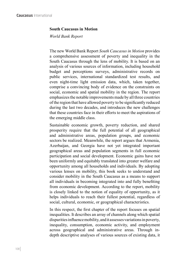#### **South Caucasus in Motion**

*World Bank Report*

The new World Bank Report *South Caucasus in Motion* provides a comprehensive assessment of poverty and inequality in the South Caucasus through the lens of mobility. It is based on an analysis of various sources of information, including household budget and perceptions surveys, administrative records on public services, international standardized test results, and even night-time light emission data, which, taken together, comprise a convincing body of evidence on the constraints on social, economic and spatial mobility in the region. The report emphasizes the notable improvements made by all three countries of the region that have allowed poverty to be significantly reduced during the last two decades, and introduces the new challenges that these countries face in their efforts to meet the aspirations of the emerging middle class.

Sustainable economic growth, poverty reduction, and shared prosperity require that the full potential of all geographical and administrative areas, population groups, and economic sectors be realized. Meanwhile, the report argues that Armenia, Azerbaijan, and Georgia have not yet integrated important geographical areas and population segments in full economic participation and social development. Economic gains have not been uniformly and equitably translated into greater welfare and opportunity among all households and individuals. By adopting various lenses on mobility, this book seeks to understand and consider mobility in the South Caucasus as a means to support all individuals in becoming integrated into and fully benefiting from economic development. According to the report, mobility is closely linked to the notion of equality of opportunity, as it helps individuals to reach their fullest potential, regardless of social, cultural, economic, or geographical characteristics.

In this respect, the first chapter of the report focuses on spatial inequalities. It describes an array of channels along which spatial disparities influence mobility, and it assesses variations in poverty, inequality, consumption, economic activity, and employment across geographical and administrative areas. Through indepth descriptive analyses of various sources of existing data, it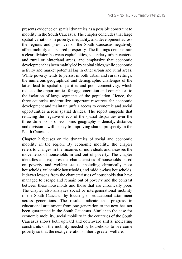presents evidence on spatial dynamics as a possible constraint to mobility in the South Caucasus. The chapter concludes that large spatial variations in poverty, inequality, and development across the regions and provinces of the South Caucasus negatively affect mobility and shared prosperity. The findings demonstrate a clear division between capital cities, secondary urban centers, and rural or hinterland areas, and emphasize that economic development has been mainly led by capital cities, while economic activity and market potential lag in other urban and rural areas. While poverty tends to persist in both urban and rural settings, the numerous geographical and demographic challenges of the latter lead to spatial disparities and poor connectivity, which reduces the opportunities for agglomeration and contributes to the isolation of large segments of the population. Hence, the three countries underutilize important resources for economic development and maintain unfair access to economic and social opportunities across spatial divides. The report suggests that reducing the negative effects of the spatial disparities over the three dimensions of economic geography – density, distance, and division – will be key to improving shared prosperity in the South Caucasus.

Chapter 2 focuses on the dynamics of social and economic mobility in the region. By economic mobility, the chapter refers to changes in the incomes of individuals and assesses the movements of households in and out of poverty. The chapter identifies and explores the characteristics of households based on poverty and welfare status, including chronically poor households, vulnerable households, and middle-class households. It draws lessons from the characteristics of households that have managed to escape and remain out of poverty and the contrast between these households and those that are chronically poor. The chapter also analyzes social or intergenerational mobility in the South Caucasus by focusing on educational attainment across generations. The results indicate that progress in educational attainment from one generation to the next has not been guaranteed in the South Caucasus. Similar to the case for economic mobility, social mobility in the countries of the South Caucasus shows both upward and downward shifts, indicating constraints on the mobility needed by households to overcome poverty so that the next generations inherit greater welfare.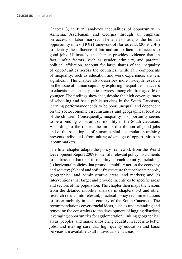Chapter 3, in turn, analyzes inequalities of opportunity in Armenia, Azerbaijan, and Georgia through an emphasis on access to labor markets. The analysis adapts the human opportunity index (HOI) framework of Barros et al. (2009, 2010) to identify the influence of fair and unfair factors in access to good jobs. Ultimately, the chapter provides evidence that, in fact, unfair factors, such as gender, ethnicity, and parental political affiliation, account for large shares of the inequality of opportunities across the countries, while fair components of inequality, such as education and work experience, are less significant. The chapter also describes more in-depth research on the issue of human capital by exploring inequalities in access to education and basic public services among children aged 16 or younger. The findings show that, despite the high coverage rates of schooling and basic public services in the South Caucasus, learning performance tends to be poor, unequal, and dependent on the socioeconomic circumstances and geographical location of the children. Consequently, inequality of opportunity seems to be a binding constraint on mobility in the South Caucasus. According to the report, the unfair distribution of good jobs and of the basic inputs of human capital accumulation unfairly prevents individuals from taking advantage of opportunities in labour markets.

The final chapter adapts the policy framework from the World Development Report 2009 to identify relevant policy instruments to address the barriers to mobility in each country, including: (a) horizontal policies that promote mobility across the economy and society; (b) hard and soft infrastructure that connects people, geographical and administrative areas, and markets; and (c) interventions that target and provide incentives to specific areas and sectors of the population. The chapter then maps the lessons from the detailed mobility analysis in chapters 1–3 and other research results into relevant, practical policy recommendations to foster mobility in each country of the South Caucasus. The recommendations cover crucial ideas, such as understanding and removing the constraints to the development of lagging districts; leveraging opportunities for agglomeration; linking geographical areas, peoples, and markets; fostering equality in access to better jobs; and making sure that high-quality education and basic services are available to all individuals and areas.